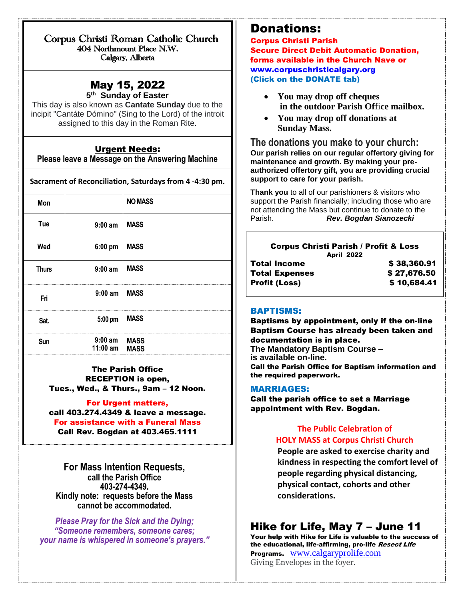Corpus Christi Roman Catholic Church 404 Northmount Place N.W. Calgary, Alberta

## May 15, 2022

 $\overline{a}$ 

**5 th Sunday of Easter**

This day is also known as **Cantate Sunday** due to the incipit "Cantáte Dómino" (Sing to the Lord) of the introit assigned to this day in the Roman Rite.

### Urgent Needs:

**Please leave a Message on the Answering Machine**

**Sacrament of Reconciliation, Saturdays from 4 -4:30 pm.**

| Mon          |                              | <b>NO MASS</b>                          |
|--------------|------------------------------|-----------------------------------------|
| Tue          | $9:00$ am                    | $\overline{\phantom{a}}$<br><b>MASS</b> |
| Wed          | 6:00 pm                      | <b>MASS</b>                             |
| <b>Thurs</b> | $9:00$ am                    | <b>MASS</b>                             |
| Fri          | $9:00$ am   MASS             |                                         |
| Sat.         | $5:00 \text{ pm}$            | <b>MASS</b>                             |
| Sun          | $9:00$ am<br>11:00 am   MASS | <b>MASS</b>                             |

The Parish Office RECEPTION is open, Tues., Wed., & Thurs., 9am – 12 Noon.

For Urgent matters, call 403.274.4349 & leave a message. For assistance with a Funeral Mass Call Rev. Bogdan at 403.465.1111

**For Mass Intention Requests, call the Parish Office 403-274-4349. Kindly note: requests before the Mass cannot be accommodated.** 

*Please Pray for the Sick and the Dying; "Someone remembers, someone cares; your name is whispered in someone's prayers."*

## Donations:

Corpus Christi Parish Secure Direct Debit Automatic Donation, forms available in the Church Nave or [www.corpuschristicalgary.org](http://www.corpuschristicalgary.org/) (Click on the DONATE tab)

- **You may drop off cheques in the outdoor Parish Of**fi**ce mailbox.**
- **You may drop off donations at Sunday Mass.**

**The donations you make to your church: Our parish relies on our regular offertory giving for maintenance and growth. By making your preauthorized offertory gift, you are providing crucial support to care for your parish.**

**Thank you** to all of our parishioners & visitors who support the Parish financially; including those who are not attending the Mass but continue to donate to the Parish. *Rev. Bogdan Sianozecki*

| <b>Corpus Christi Parish / Profit &amp; Loss</b><br><b>April 2022</b> |             |
|-----------------------------------------------------------------------|-------------|
| Total Income                                                          | \$38,360.91 |
| Total Expenses                                                        | \$27,676.50 |
| Profit (Loss)                                                         | \$10,684.41 |
|                                                                       |             |

#### BAPTISMS:

Baptisms by appointment, only if the on-line Baptism Course has already been taken and documentation is in place. **The Mandatory Baptism Course – is available on-line.**  Call the Parish Office for Baptism information and the required paperwork.

#### MARRIAGES:

Call the parish office to set a Marriage appointment with Rev. Bogdan.

### **The Public Celebration of HOLY MASS at Corpus Christi Church**

**People are asked to exercise charity and kindness in respecting the comfort level of people regarding physical distancing, physical contact, cohorts and other considerations.**

## Hike for Life, May 7 – June 11

Your help with Hike for Life is valuable to the success of the educational, life-affirming, pro-life Resect Life Programs. [www.calgaryprolife.com](http://www.calgaryprolife.com/)

Giving Envelopes in the foyer.